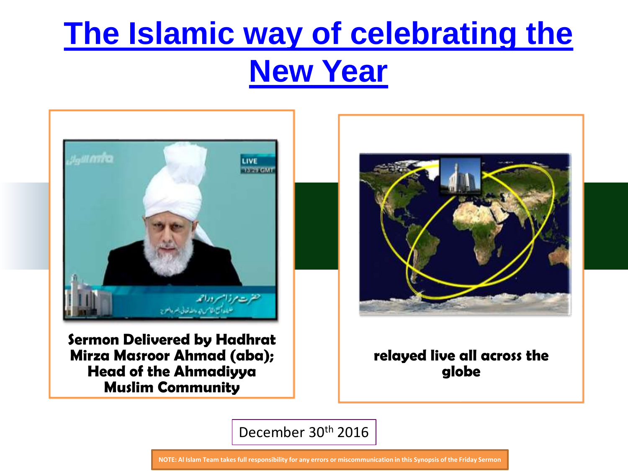

**Sermon Delivered by Hadhrat Mirza Masroor Ahmad (aba); Head of the Ahmadiyya Muslim Community** 



#### **relayed live all across the globe**

December 30th 2016

**NOTE: Al Islam Team takes full responsibility for any errors or miscommunication in this Synopsis of the Friday Sermon**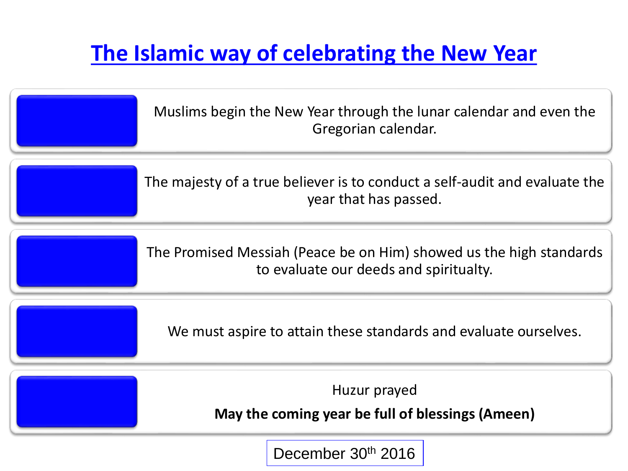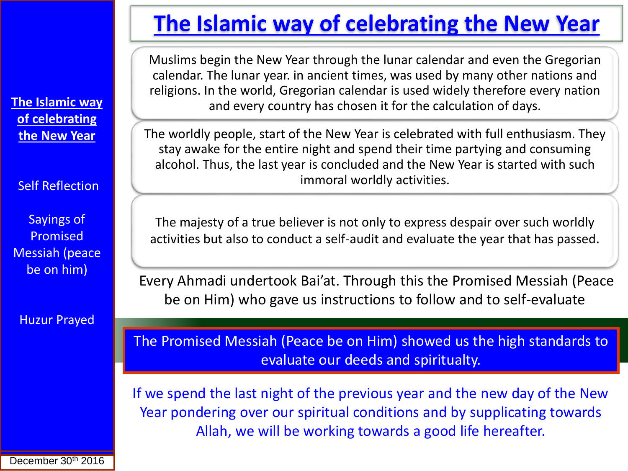Muslims begin the New Year through the lunar calendar and even the Gregorian calendar. The lunar year. in ancient times, was used by many other nations and religions. In the world, Gregorian calendar is used widely therefore every nation and every country has chosen it for the calculation of days.

The worldly people, start of the New Year is celebrated with full enthusiasm. They stay awake for the entire night and spend their time partying and consuming alcohol. Thus, the last year is concluded and the New Year is started with such immoral worldly activities.

The majesty of a true believer is not only to express despair over such worldly activities but also to conduct a self-audit and evaluate the year that has passed.

Every Ahmadi undertook Bai'at. Through this the Promised Messiah (Peace be on Him) who gave us instructions to follow and to self-evaluate.

The Promised Messiah (Peace be on Him) showed us the high standards to evaluate our deeds and spiritualty.

If we spend the last night of the previous year and the new day of the New Year pondering over our spiritual conditions and by supplicating towards Allah, we will be working towards a good life hereafter.

**The Islamic way of celebrating the New Year**

Self Reflection

Sayings of Promised Messiah (peace be on him)

Huzur Prayed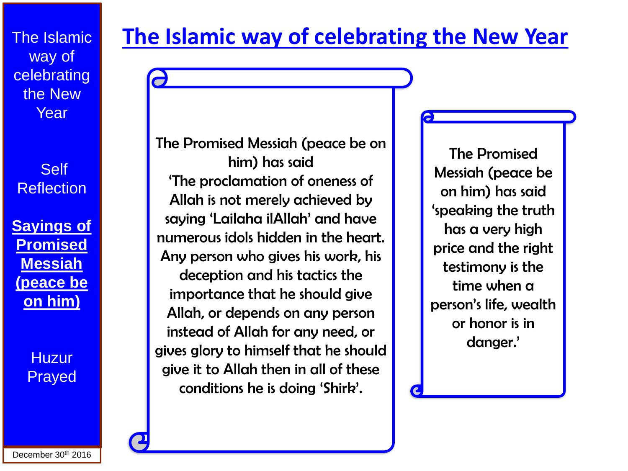**Self Reflection** 

**Sayings of Promised Messiah (peace be on him)**

> **Huzur** Prayed

### **The Islamic way of celebrating the New Year**

The Promised Messiah (peace be on him) has said 'The proclamation of oneness of Allah is not merely achieved by saying 'Lailaha ilAllah' and have numerous idols hidden in the heart. Any person who gives his work, his deception and his tactics the importance that he should give Allah, or depends on any person instead of Allah for any need, or gives glory to himself that he should give it to Allah then in all of these conditions he is doing 'Shirk'.

The Promised Messiah (peace be on him) has said 'speaking the truth has a very high price and the right testimony is the time when a person's life, wealth or honor is in danger.'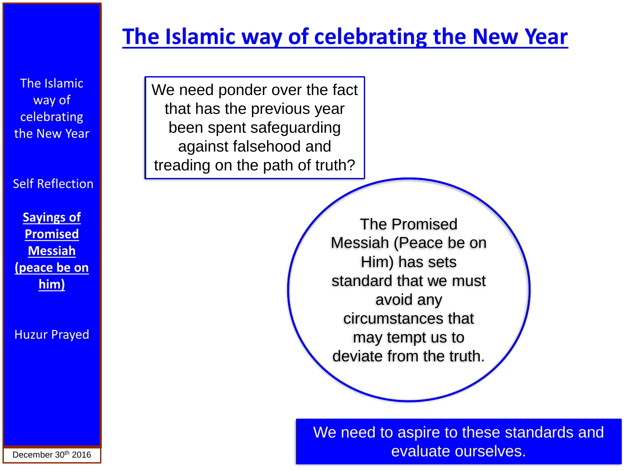The Islamic way of **celebrating** the New Year

Self Reflection

**Sayings of Promised Messiah (peace be on him)**

Huzur Prayed

We need ponder over the fact that has the previous year been spent safeguarding against falsehood and treading on the path of truth?

> The Promised Messiah (Peace be on Him) has sets standard that we must avoid any circumstances that may tempt us to deviate from the truth.

We need to aspire to these standards and evaluate ourselves.

December 30<sup>th</sup> 2016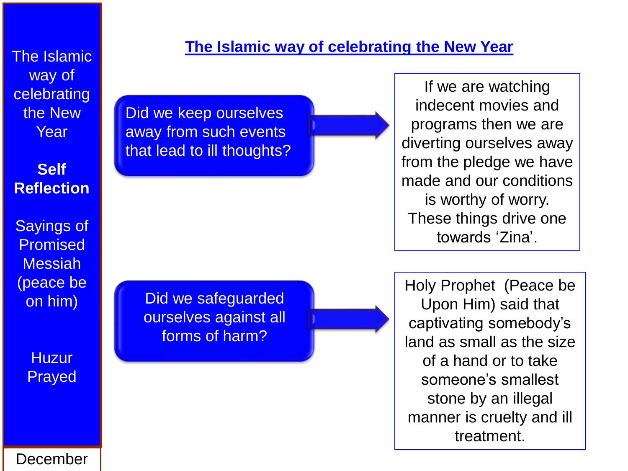**Self Reflection**

Sayings of Promised Messiah (peace be on him)

> **Huzur** Prayed

### **The Islamic way of celebrating the New Year** The Islamic

Did we keep ourselves away from such events that lead to ill thoughts?

> Did we safeguarded ourselves against all forms of harm?

If we are watching indecent movies and programs then we are diverting ourselves away from the pledge we have made and our conditions is worthy of worry. These things drive one towards 'Zina'.

Holy Prophet (Peace be Upon Him) said that captivating somebody's land as small as the size of a hand or to take someone's smallest stone by an illegal manner is cruelty and ill treatment.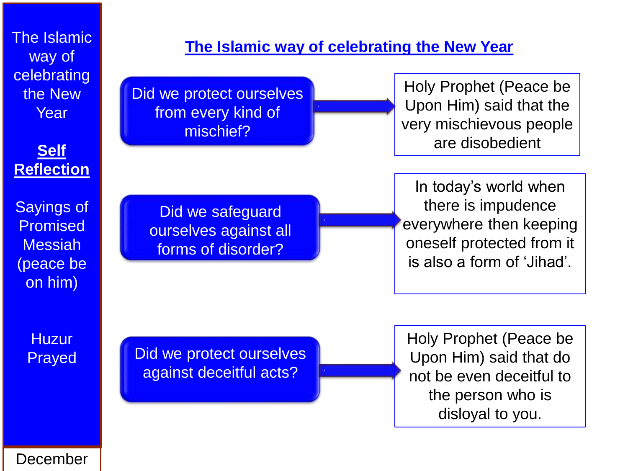#### **Self Reflection**

Sayings of Promised Messiah (peace be on him)

> **Huzur** Prayed

### The Islamic **The Islamic Way of celebrating the New Year**

Did we protect ourselves from every kind of mischief?

Holy Prophet (Peace be Upon Him) said that the very mischievous people are disobedient

Did we safeguard ourselves against all forms of disorder?

In today's world when there is impudence everywhere then keeping oneself protected from it is also a form of 'Jihad'.

Did we protect ourselves against deceitful acts?

Holy Prophet (Peace be Upon Him) said that do not be even deceitful to the person who is disloyal to you.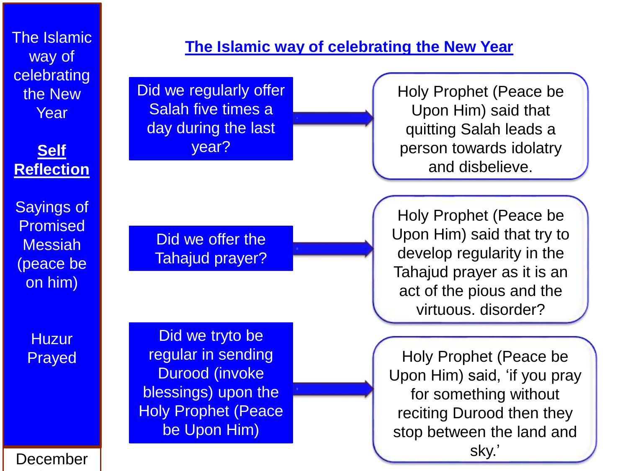#### **Self Reflection**

Sayings of Promised Messiah (peace be on him)

> **Huzur** Prayed

# The Islamic **The Islamic Way of celebrating the New Year**

Did we regularly offer Salah five times a day during the last year?

> Did we offer the Tahajud prayer?

Did we tryto be regular in sending Durood (invoke blessings) upon the Holy Prophet (Peace be Upon Him)

Holy Prophet (Peace be Upon Him) said that quitting Salah leads a person towards idolatry and disbelieve.

Holy Prophet (Peace be Upon Him) said that try to develop regularity in the Tahajud prayer as it is an act of the pious and the virtuous. disorder?

Holy Prophet (Peace be Upon Him) said, 'if you pray for something without reciting Durood then they stop between the land and sky.'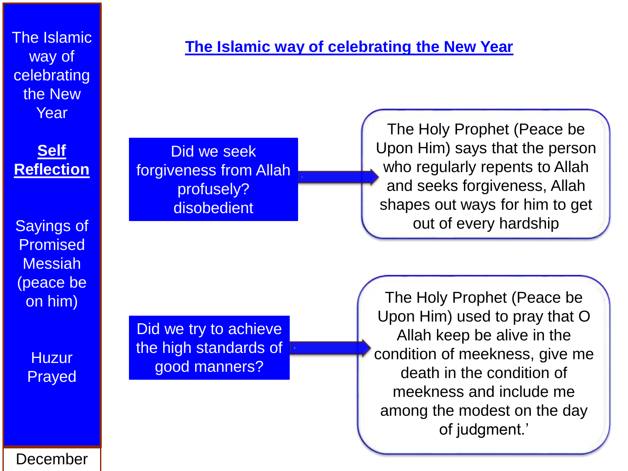#### **Self Reflection**

Sayings of Promised Messiah (peace be on him)

> **Huzur** Prayed

# The Islamic **The Islamic Way of celebrating the New Year**

Did we seek forgiveness from Allah profusely? **disobedient** 

The Holy Prophet (Peace be Upon Him) says that the person who regularly repents to Allah and seeks forgiveness, Allah shapes out ways for him to get out of every hardship

Did we try to achieve the high standards of good manners?

The Holy Prophet (Peace be Upon Him) used to pray that O Allah keep be alive in the condition of meekness, give me death in the condition of meekness and include me among the modest on the day of judgment.'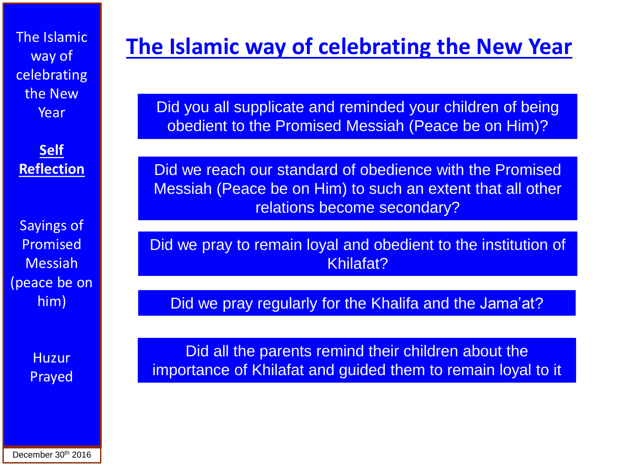**Self Reflection**

Sayings of Promised Messiah (peace be on him)

> **Huzur** Prayed

# **The Islamic way of celebrating the New Year** The Islamic

Did you all supplicate and reminded your children of being obedient to the Promised Messiah (Peace be on Him)?

Did we reach our standard of obedience with the Promised Messiah (Peace be on Him) to such an extent that all other relations become secondary?

Did we pray to remain loyal and obedient to the institution of Khilafat?

Did we pray regularly for the Khalifa and the Jama'at?

Did all the parents remind their children about the importance of Khilafat and guided them to remain loyal to it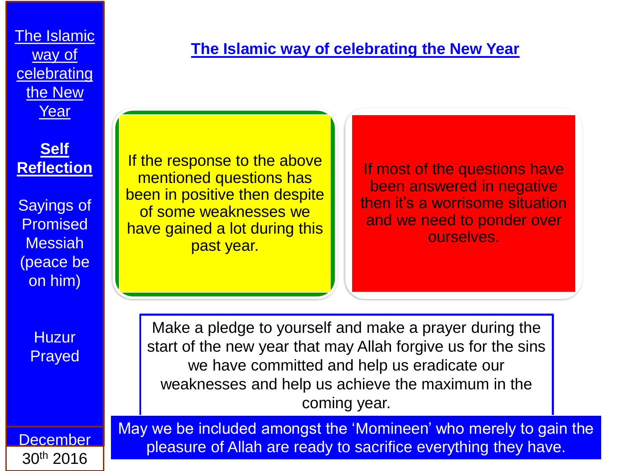#### **Self Reflection**

Sayings of **Promised** Messiah (peace be on him)

If the response to the above mentioned questions has been in positive then despite of some weaknesses we have gained a lot during this past year.

If most of the questions have been answered in negative then it's a worrisome situation and we need to ponder over ourselves.

**Huzur** Prayed

Make a pledge to yourself and make a prayer during the start of the new year that may Allah forgive us for the sins we have committed and help us eradicate our weaknesses and help us achieve the maximum in the coming year.

May we be included amongst the 'Momineen' who merely to gain the

pleasure of Allah are ready to sacrifice everything they have.

**December** 30th 2016

**The Islamic way of celebrating the New Year**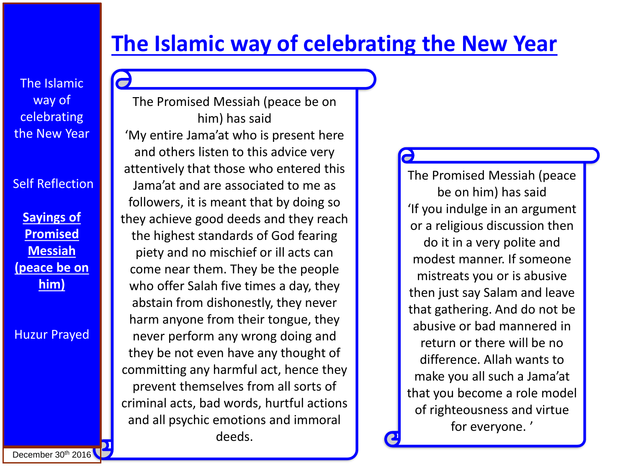The Islamic way of **celebrating** the New Year

Self Reflection

**Sayings of Promised Messiah (peace be on him)**

Huzur Prayed

The Promised Messiah (peace be on him) has said 'My entire Jama'at who is present here and others listen to this advice very attentively that those who entered this Jama'at and are associated to me as followers, it is meant that by doing so they achieve good deeds and they reach the highest standards of God fearing piety and no mischief or ill acts can come near them. They be the people who offer Salah five times a day, they abstain from dishonestly, they never harm anyone from their tongue, they never perform any wrong doing and they be not even have any thought of committing any harmful act, hence they prevent themselves from all sorts of criminal acts, bad words, hurtful actions and all psychic emotions and immoral deeds.

The Promised Messiah (peace be on him) has said 'If you indulge in an argument or a religious discussion then do it in a very polite and modest manner. If someone mistreats you or is abusive then just say Salam and leave that gathering. And do not be abusive or bad mannered in return or there will be no difference. Allah wants to make you all such a Jama'at that you become a role model of righteousness and virtue for everyone. '

December  $30<sup>th</sup>$  2016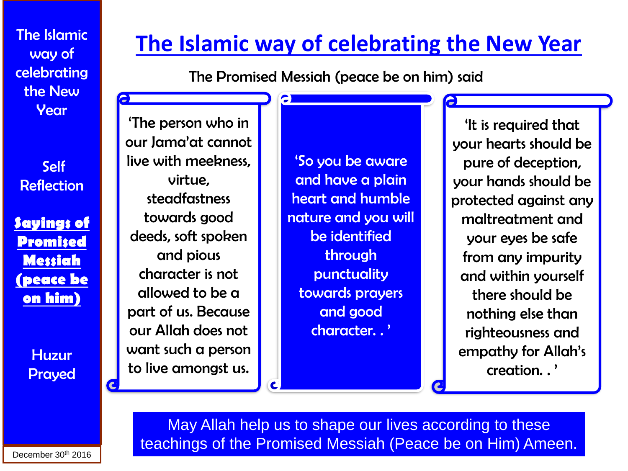Self **Reflection** 

**Sayings of Promised Messiah (peace be on him)**

> **Huzur** Prayed

### **The Islamic way of celebrating the New Year**

The Promised Messiah (peace be on him) said

e

 $\mathbf{c}$ 

'The person who in our Jama'at cannot live with meekness, virtue, steadfastness towards good deeds, soft spoken and pious character is not allowed to be a part of us. Because our Allah does not want such a person to live amongst us.

'So you be aware and have a plain heart and humble nature and you will be identified through punctuality towards prayers and good character. . '

'It is required that your hearts should be pure of deception, your hands should be protected against any maltreatment and your eyes be safe from any impurity and within yourself there should be nothing else than righteousness and empathy for Allah's creation. . '

May Allah help us to shape our lives according to these teachings of the Promised Messiah (Peace be on Him) Ameen.